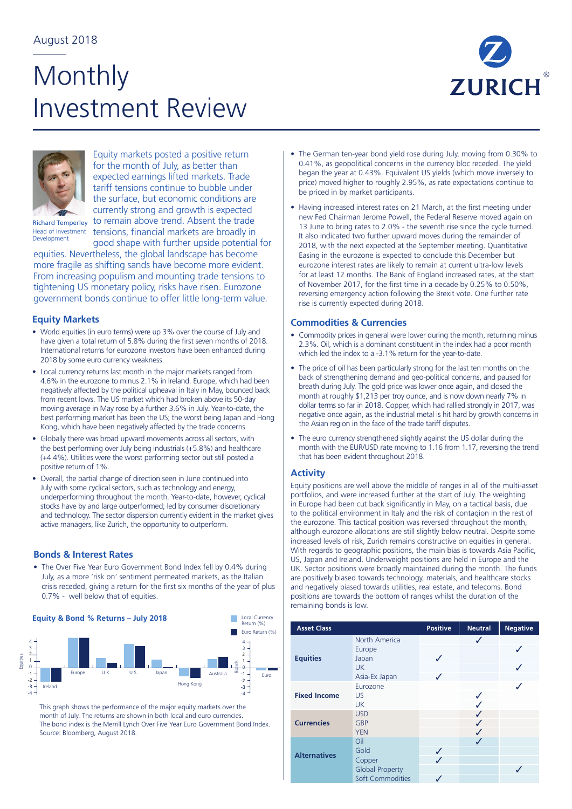# Monthly Investment Review





Equity markets posted a positive return for the month of July, as better than expected earnings lifted markets. Trade tariff tensions continue to bubble under the surface, but economic conditions are currently strong and growth is expected to remain above trend. Absent the trade Head of Investment tensions, financial markets are broadly in

Development

good shape with further upside potential for equities. Nevertheless, the global landscape has become more fragile as shifting sands have become more evident. From increasing populism and mounting trade tensions to tightening US monetary policy, risks have risen. Eurozone government bonds continue to offer little long-term value.

## **Equity Markets**

- World equities (in euro terms) were up 3% over the course of July and have given a total return of 5.8% during the first seven months of 2018. International returns for eurozone investors have been enhanced during 2018 by some euro currency weakness.
- Local currency returns last month in the major markets ranged from 4.6% in the eurozone to minus 2.1% in Ireland. Europe, which had been negatively affected by the political upheaval in Italy in May, bounced back from recent lows. The US market which had broken above its 50-day moving average in May rose by a further 3.6% in July. Year-to-date, the best performing market has been the US; the worst being Japan and Hong Kong, which have been negatively affected by the trade concerns.
- Globally there was broad upward movements across all sectors, with the best performing over July being industrials (+5.8%) and healthcare (+4.4%). Utilities were the worst performing sector but still posted a positive return of 1%.
- Overall, the partial change of direction seen in June continued into July with some cyclical sectors, such as technology and energy, underperforming throughout the month. Year-to-date, however, cyclical stocks have by and large outperformed; led by consumer discretionary and technology. The sector dispersion currently evident in the market gives active managers, like Zurich, the opportunity to outperform.

## **Bonds & Interest Rates**

6 crisis receded, giving a return for the first six months of the year of plus • The Over Five Year Euro Government Bond Index fell by 0.4% during July, as a more 'risk on' sentiment permeated markets, as the Italian 0.7% - well below that of equities.



This graph shows the performance of the major equity markets over the month of July. The returns are shown in both local and euro currencies. Source: Bloomberg, August 2018.

- The German ten-year bond yield rose during July, moving from 0.30% to 0.41%, as geopolitical concerns in the currency bloc receded. The yield began the year at 0.43%. Equivalent US yields (which move inversely to price) moved higher to roughly 2.95%, as rate expectations continue to be priced in by market participants.
- Having increased interest rates on 21 March, at the first meeting under new Fed Chairman Jerome Powell, the Federal Reserve moved again on 13 June to bring rates to 2.0% - the seventh rise since the cycle turned. It also indicated two further upward moves during the remainder of 2018, with the next expected at the September meeting. Quantitative Easing in the eurozone is expected to conclude this December but eurozone interest rates are likely to remain at current ultra-low levels for at least 12 months. The Bank of England increased rates, at the start of November 2017, for the first time in a decade by 0.25% to 0.50%, reversing emergency action following the Brexit vote. One further rate rise is currently expected during 2018.

### **Commodities & Currencies**

- Commodity prices in general were lower during the month, returning minus 2.3%. Oil, which is a dominant constituent in the index had a poor month which led the index to a -3.1% return for the year-to-date.
- The price of oil has been particularly strong for the last ten months on the back of strengthening demand and geo-political concerns, and paused for breath during July. The gold price was lower once again, and closed the month at roughly \$1,213 per troy ounce, and is now down nearly 7% in dollar terms so far in 2018. Copper, which had rallied strongly in 2017, was negative once again, as the industrial metal is hit hard by growth concerns in the Asian region in the face of the trade tariff disputes.
- The euro currency strengthened slightly against the US dollar during the month with the EUR/USD rate moving to 1.16 from 1.17, reversing the trend that has been evident throughout 2018.

### **Activity**

and negatively biased towards utilities, real estate, and telecoms. Bond positions are towards the bottom of ranges whilst the duration of the With regards to geographic positions, the main bias is towards Asia Pacific, US, Japan and Ireland. Underweight positions are held in Europe and the UK. Sector positions were broadly maintained during the month. The funds are positively biased towards technology, materials, and healthcare stocks remaining bonds is low. Equity positions are well above the middle of ranges in all of the multi-asset portfolios, and were increased further at the start of July. The weighting in Europe had been cut back significantly in May, on a tactical basis, due to the political environment in Italy and the risk of contagion in the rest of the eurozone. This tactical position was reversed throughout the month, although eurozone allocations are still slightly below neutral. Despite some increased levels of risk, Zurich remains constructive on equities in general.

| <b>Asset Class</b>  |                        | <b>Positive</b>          | <b>Neutral</b> | <b>Negative</b> |
|---------------------|------------------------|--------------------------|----------------|-----------------|
|                     | North America          |                          |                |                 |
| <b>Equities</b>     | Europe                 |                          |                |                 |
|                     | Japan                  | ✓                        |                |                 |
|                     | <b>UK</b>              |                          |                |                 |
|                     | Asia-Ex Japan          | J                        |                |                 |
|                     | Eurozone               |                          |                |                 |
| <b>Fixed Income</b> | US.                    |                          | √              |                 |
|                     | <b>UK</b>              |                          |                |                 |
|                     | <b>USD</b>             |                          |                |                 |
| <b>Currencies</b>   | <b>GBP</b>             |                          |                |                 |
|                     | <b>YEN</b>             |                          | ✓              |                 |
|                     | Oil                    |                          |                |                 |
| <b>Alternatives</b> | Gold                   | $\checkmark$             |                |                 |
|                     | Copper                 | $\overline{\mathcal{L}}$ |                |                 |
|                     | <b>Global Property</b> |                          |                |                 |
|                     | Soft Commodities       |                          |                |                 |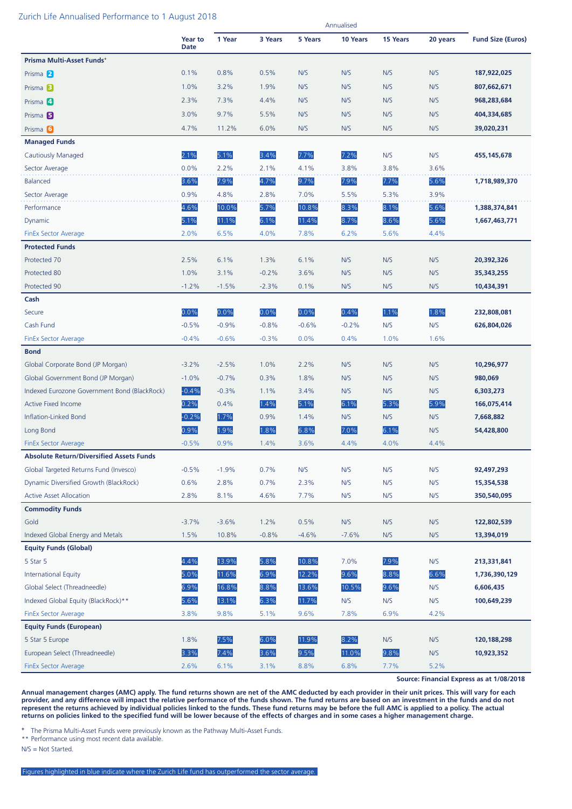#### Zurich Life Annualised Performance to 1 August 2018

| an en en en mandanse an en en man een en mag    |                        |         |         |         | Annualised |          |          |                          |
|-------------------------------------------------|------------------------|---------|---------|---------|------------|----------|----------|--------------------------|
|                                                 | Year to<br><b>Date</b> | 1 Year  | 3 Years | 5 Years | 10 Years   | 15 Years | 20 years | <b>Fund Size (Euros)</b> |
| Prisma Multi-Asset Funds <sup>+</sup>           |                        |         |         |         |            |          |          |                          |
| Prisma 2                                        | 0.1%                   | 0.8%    | 0.5%    | N/S     | N/S        | N/S      | N/S      | 187,922,025              |
| Prisma <sup>B</sup>                             | 1.0%                   | 3.2%    | 1.9%    | N/S     | N/S        | N/S      | N/S      | 807,662,671              |
| Prisma 4                                        | 2.3%                   | 7.3%    | 4.4%    | N/S     | N/S        | N/S      | N/S      | 968,283,684              |
| Prisma <sup>5</sup>                             | 3.0%                   | 9.7%    | 5.5%    | N/S     | N/S        | N/S      | N/S      | 404,334,685              |
| Prisma <sup>6</sup>                             | 4.7%                   | 11.2%   | 6.0%    | N/S     | N/S        | N/S      | N/S      | 39,020,231               |
| <b>Managed Funds</b>                            |                        |         |         |         |            |          |          |                          |
| <b>Cautiously Managed</b>                       | 2.1%                   | 5.1%    | 3.4%    | 7.7%    | 7.2%       | N/S      | N/S      | 455, 145, 678            |
| Sector Average                                  | 0.0%                   | 2.2%    | 2.1%    | 4.1%    | 3.8%       | 3.8%     | 3.6%     |                          |
| <b>Balanced</b>                                 | 3.6%                   | 7.9%    | 4.7%    | 9.7%    | 7.9%       | 7.7%     | 5.6%     | 1,718,989,370            |
| Sector Average                                  | 0.9%                   | 4.8%    | 2.8%    | 7.0%    | 5.5%       | 5.3%     | 3.9%     |                          |
| Performance                                     | 4.6%                   | 10.0%   | 5.7%    | 10.8%   | 8.3%       | 8.1%     | 5.6%     | 1,388,374,841            |
| Dynamic                                         | 5.1%                   | 11.1%   | 6.1%    | 11.4%   | 8.7%       | 8.6%     | 5.6%     | 1,667,463,771            |
| <b>FinEx Sector Average</b>                     | 2.0%                   | 6.5%    | 4.0%    | 7.8%    | 6.2%       | 5.6%     | 4.4%     |                          |
| <b>Protected Funds</b>                          |                        |         |         |         |            |          |          |                          |
| Protected 70                                    | 2.5%                   | 6.1%    | 1.3%    | 6.1%    | N/S        | N/S      | N/S      | 20,392,326               |
| Protected 80                                    | 1.0%                   | 3.1%    | $-0.2%$ | 3.6%    | N/S        | N/S      | N/S      | 35,343,255               |
| Protected 90                                    | $-1.2%$                | $-1.5%$ | $-2.3%$ | 0.1%    | N/S        | N/S      | N/S      | 10,434,391               |
| Cash                                            |                        |         |         |         |            |          |          |                          |
| Secure                                          | 0.0%                   | 0.0%    | 0.0%    | 0.0%    | 0.4%       | 1.1%     | 1.8%     | 232,808,081              |
| Cash Fund                                       | $-0.5%$                | $-0.9%$ | $-0.8%$ | $-0.6%$ | $-0.2%$    | N/S      | N/S      | 626,804,026              |
| <b>FinEx Sector Average</b>                     | $-0.4%$                | $-0.6%$ | $-0.3%$ | 0.0%    | 0.4%       | 1.0%     | 1.6%     |                          |
| <b>Bond</b>                                     |                        |         |         |         |            |          |          |                          |
| Global Corporate Bond (JP Morgan)               | $-3.2%$                | $-2.5%$ | 1.0%    | 2.2%    | N/S        | N/S      | N/S      | 10,296,977               |
| Global Government Bond (JP Morgan)              | $-1.0%$                | $-0.7%$ | 0.3%    | 1.8%    | N/S        | N/S      | N/S      | 980,069                  |
| Indexed Eurozone Government Bond (BlackRock)    | $-0.4%$                | $-0.3%$ | 1.1%    | 3.4%    | N/S        | N/S      | N/S      | 6,303,273                |
| <b>Active Fixed Income</b>                      | 0.2%                   | 0.4%    | 1.4%    | 5.1%    | 6.1%       | 5.3%     | 5.9%     | 166,075,414              |
| Inflation-Linked Bond                           | $-0.2%$                | 1.7%    | 0.9%    | 1.4%    | N/S        | N/S      | N/S      | 7,668,882                |
| Long Bond                                       | 0.9%                   | 1.9%    | 1.8%    | 6.8%    | 7.0%       | 6.1%     | N/S      | 54,428,800               |
| <b>FinEx Sector Average</b>                     | $-0.5%$                | 0.9%    | 1.4%    | 3.6%    | 4.4%       | 4.0%     | 4.4%     |                          |
| <b>Absolute Return/Diversified Assets Funds</b> |                        |         |         |         |            |          |          |                          |
| Global Targeted Returns Fund (Invesco)          | $-0.5%$                | $-1.9%$ | 0.7%    | N/S     | N/S        | N/S      | N/S      | 92,497,293               |
| Dynamic Diversified Growth (BlackRock)          | 0.6%                   | 2.8%    | 0.7%    | 2.3%    | N/S        | N/S      | N/S      | 15,354,538               |
| <b>Active Asset Allocation</b>                  | 2.8%                   | 8.1%    | 4.6%    | 7.7%    | N/S        | N/S      | N/S      | 350,540,095              |
| <b>Commodity Funds</b>                          |                        |         |         |         |            |          |          |                          |
| Gold                                            | $-3.7%$                | $-3.6%$ | 1.2%    | 0.5%    | N/S        | N/S      | N/S      | 122,802,539              |
| Indexed Global Energy and Metals                | 1.5%                   | 10.8%   | $-0.8%$ | $-4.6%$ | $-7.6%$    | N/S      | N/S      | 13,394,019               |
| <b>Equity Funds (Global)</b>                    |                        |         |         |         |            |          |          |                          |
| 5 Star 5                                        | 4.4%                   | 13.9%   | 5.8%    | 10.8%   | 7.0%       | 7.9%     | N/S      | 213,331,841              |
| <b>International Equity</b>                     | 5.0%                   | 11.6%   | 6.9%    | 12.2%   | 9.6%       | 8.8%     | 6.6%     | 1,736,390,129            |
| Global Select (Threadneedle)                    | 6.9%                   | 16.8%   | 8.8%    | 13.6%   | 10.5%      | 9.6%     | N/S      | 6,606,435                |
| Indexed Global Equity (BlackRock)**             | 5.6%                   | 13.1%   | 6.3%    | 11.7%   | N/S        | N/S      | N/S      | 100,649,239              |
| <b>FinEx Sector Average</b>                     | 3.8%                   | 9.8%    | 5.1%    | 9.6%    | 7.8%       | 6.9%     | 4.2%     |                          |
| <b>Equity Funds (European)</b>                  |                        |         |         |         |            |          |          |                          |
| 5 Star 5 Europe                                 | 1.8%                   | 7.5%    | 6.0%    | 11.9%   | 8.2%       | N/S      | N/S      | 120,188,298              |
| European Select (Threadneedle)                  | 3.3%                   | 7.4%    | 3.6%    | 9.5%    | 11.0%      | 9.8%     | N/S      | 10,923,352               |
| <b>FinEx Sector Average</b>                     | 2.6%                   | 6.1%    | 3.1%    | 8.8%    | 6.8%       | 7.7%     | 5.2%     |                          |

**Source: Financial Express as at 1/08/2018**

**Annual management charges (AMC) apply. The fund returns shown are net of the AMC deducted by each provider in their unit prices. This will vary for each provider, and any difference will impact the relative performance of the funds shown. The fund returns are based on an investment in the funds and do not represent the returns achieved by individual policies linked to the funds. These fund returns may be before the full AMC is applied to a policy. The actual returns on policies linked to the specified fund will be lower because of the effects of charges and in some cases a higher management charge.**

**<sup>+</sup>** The Prisma Multi-Asset Funds were previously known as the Pathway Multi-Asset Funds.

\*\* Performance using most recent data available.

N/S = Not Started.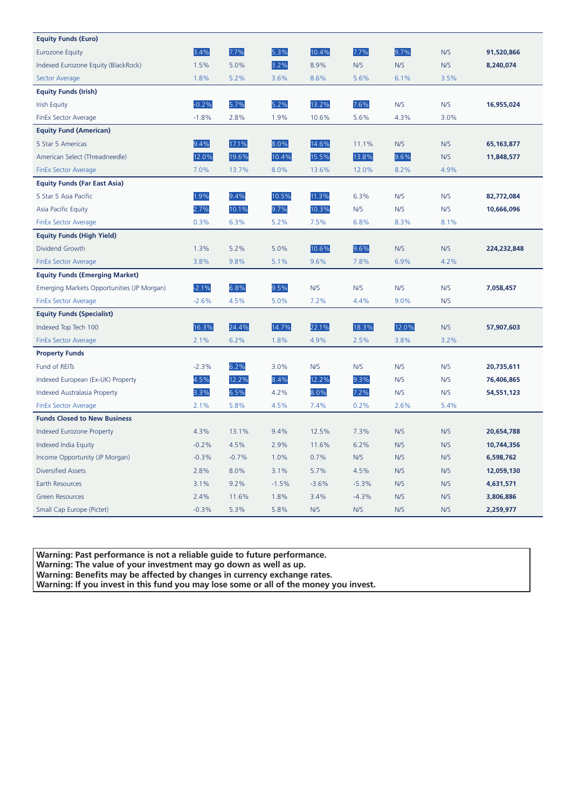| <b>Equity Funds (Euro)</b>                 |         |         |         |         |         |       |      |              |
|--------------------------------------------|---------|---------|---------|---------|---------|-------|------|--------------|
| <b>Eurozone Equity</b>                     | 3.4%    | 7.7%    | 5.3%    | 10.4%   | 7.7%    | 9.7%  | N/S  | 91,520,866   |
| Indexed Eurozone Equity (BlackRock)        | 1.5%    | 5.0%    | 3.2%    | 8.9%    | N/S     | N/S   | N/S  | 8,240,074    |
| Sector Average                             | 1.8%    | 5.2%    | 3.6%    | 8.6%    | 5.6%    | 6.1%  | 3.5% |              |
| <b>Equity Funds (Irish)</b>                |         |         |         |         |         |       |      |              |
| <b>Irish Equity</b>                        | $-0.2%$ | 5.7%    | 5.2%    | 13.2%   | 7.6%    | N/S   | N/S  | 16,955,024   |
| <b>FinEx Sector Average</b>                | $-1.8%$ | 2.8%    | 1.9%    | 10.6%   | 5.6%    | 4.3%  | 3.0% |              |
| <b>Equity Fund (American)</b>              |         |         |         |         |         |       |      |              |
| 5 Star 5 Americas                          | 9.4%    | 17.1%   | 8.0%    | 14.6%   | 11.1%   | N/S   | N/S  | 65, 163, 877 |
| American Select (Threadneedle)             | 12.0%   | 19.6%   | 10.4%   | 15.5%   | 13.8%   | 9.6%  | N/S  | 11,848,577   |
| <b>FinEx Sector Average</b>                | 7.0%    | 13.7%   | 8.0%    | 13.6%   | 12.0%   | 8.2%  | 4.9% |              |
| <b>Equity Funds (Far East Asia)</b>        |         |         |         |         |         |       |      |              |
| 5 Star 5 Asia Pacific                      | 1.9%    | 9.4%    | 10.5%   | 11.3%   | 6.3%    | N/S   | N/S  | 82,772,084   |
| Asia Pacific Equity                        | 2.7%    | 10.1%   | 9.7%    | 10.3%   | N/S     | N/S   | N/S  | 10,666,096   |
| <b>FinEx Sector Average</b>                | 0.3%    | 6.3%    | 5.2%    | 7.5%    | 6.8%    | 8.3%  | 8.1% |              |
| <b>Equity Funds (High Yield)</b>           |         |         |         |         |         |       |      |              |
| Dividend Growth                            | 1.3%    | 5.2%    | 5.0%    | 10.6%   | 9.6%    | N/S   | N/S  | 224,232,848  |
| <b>FinEx Sector Average</b>                | 3.8%    | 9.8%    | 5.1%    | 9.6%    | 7.8%    | 6.9%  | 4.2% |              |
| <b>Equity Funds (Emerging Market)</b>      |         |         |         |         |         |       |      |              |
| Emerging Markets Opportunities (JP Morgan) | $-2.1%$ | 6.8%    | 9.5%    | N/S     | N/S     | N/S   | N/S  | 7,058,457    |
| <b>FinEx Sector Average</b>                | $-2.6%$ | 4.5%    | 5.0%    | 7.2%    | 4.4%    | 9.0%  | N/S  |              |
| <b>Equity Funds (Specialist)</b>           |         |         |         |         |         |       |      |              |
| Indexed Top Tech 100                       | 16.3%   | 24.4%   | 14.7%   | 22.1%   | 18.3%   | 12.0% | N/S  | 57,907,603   |
| <b>FinEx Sector Average</b>                | 2.1%    | 6.2%    | 1.8%    | 4.9%    | 2.5%    | 3.8%  | 3.2% |              |
| <b>Property Funds</b>                      |         |         |         |         |         |       |      |              |
| Fund of REITs                              | $-2.3%$ | 6.2%    | 3.0%    | N/S     | N/S     | N/S   | N/S  | 20,735,611   |
| Indexed European (Ex-UK) Property          | 4.5%    | 12.2%   | 8.4%    | 12.2%   | 9.3%    | N/S   | N/S  | 76,406,865   |
| <b>Indexed Australasia Property</b>        | 3.3%    | 6.5%    | 4.2%    | 8.0%    | 7.2%    | N/S   | N/S  | 54,551,123   |
| <b>FinEx Sector Average</b>                | 2.1%    | 5.8%    | 4.5%    | 7.4%    | 0.2%    | 2.6%  | 5.4% |              |
| <b>Funds Closed to New Business</b>        |         |         |         |         |         |       |      |              |
| <b>Indexed Eurozone Property</b>           | 4.3%    | 13.1%   | 9.4%    | 12.5%   | 7.3%    | N/S   | N/S  | 20,654,788   |
| Indexed India Equity                       | $-0.2%$ | 4.5%    | 2.9%    | 11.6%   | 6.2%    | N/S   | N/S  | 10,744,356   |
| Income Opportunity (JP Morgan)             | $-0.3%$ | $-0.7%$ | 1.0%    | 0.7%    | N/S     | N/S   | N/S  | 6,598,762    |
| <b>Diversified Assets</b>                  | 2.8%    | 8.0%    | 3.1%    | 5.7%    | 4.5%    | N/S   | N/S  | 12,059,130   |
| Earth Resources                            | 3.1%    | 9.2%    | $-1.5%$ | $-3.6%$ | $-5.3%$ | N/S   | N/S  | 4,631,571    |
| <b>Green Resources</b>                     | 2.4%    | 11.6%   | 1.8%    | 3.4%    | $-4.3%$ | N/S   | N/S  | 3,806,886    |
| Small Cap Europe (Pictet)                  | $-0.3%$ | 5.3%    | 5.8%    | N/S     | N/S     | N/S   | N/S  | 2,259,977    |

**Warning: Past performance is not a reliable guide to future performance.** 

**Warning: The value of your investment may go down as well as up.** 

**Warning: Benefits may be affected by changes in currency exchange rates.** 

**Warning: If you invest in this fund you may lose some or all of the money you invest.**